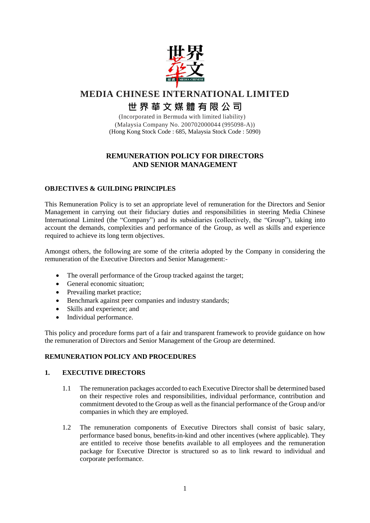

# **MEDIA CHINESE INTERNATIONAL LIMITED 世 界 華 文 媒 體 有 限 公 司**

(Incorporated in Bermuda with limited liability) (Malaysia Company No. 200702000044 (995098-A)) (Hong Kong Stock Code : 685, Malaysia Stock Code : 5090)

# **REMUNERATION POLICY FOR DIRECTORS AND SENIOR MANAGEMENT**

## **OBJECTIVES & GUILDING PRINCIPLES**

This Remuneration Policy is to set an appropriate level of remuneration for the Directors and Senior Management in carrying out their fiduciary duties and responsibilities in steering Media Chinese International Limited (the "Company") and its subsidiaries (collectively, the "Group"), taking into account the demands, complexities and performance of the Group, as well as skills and experience required to achieve its long term objectives.

Amongst others, the following are some of the criteria adopted by the Company in considering the remuneration of the Executive Directors and Senior Management:-

- The overall performance of the Group tracked against the target;
- General economic situation;
- Prevailing market practice;
- Benchmark against peer companies and industry standards;
- Skills and experience; and
- Individual performance.

This policy and procedure forms part of a fair and transparent framework to provide guidance on how the remuneration of Directors and Senior Management of the Group are determined.

## **REMUNERATION POLICY AND PROCEDURES**

#### **1. EXECUTIVE DIRECTORS**

- 1.1 The remuneration packages accorded to each Executive Director shall be determined based on their respective roles and responsibilities, individual performance, contribution and commitment devoted to the Group as well as the financial performance of the Group and/or companies in which they are employed.
- 1.2 The remuneration components of Executive Directors shall consist of basic salary, performance based bonus, benefits-in-kind and other incentives (where applicable). They are entitled to receive those benefits available to all employees and the remuneration package for Executive Director is structured so as to link reward to individual and corporate performance.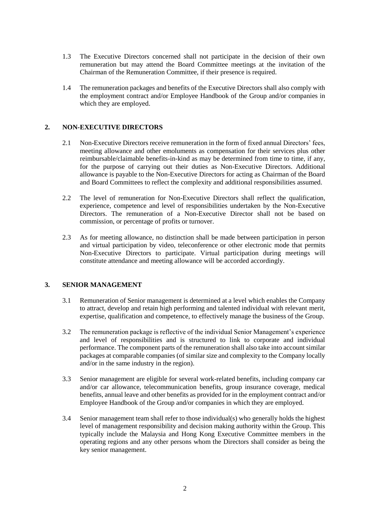- 1.3 The Executive Directors concerned shall not participate in the decision of their own remuneration but may attend the Board Committee meetings at the invitation of the Chairman of the Remuneration Committee, if their presence is required.
- 1.4 The remuneration packages and benefits of the Executive Directors shall also comply with the employment contract and/or Employee Handbook of the Group and/or companies in which they are employed.

## **2. NON-EXECUTIVE DIRECTORS**

- 2.1 Non-Executive Directors receive remuneration in the form of fixed annual Directors' fees, meeting allowance and other emoluments as compensation for their services plus other reimbursable/claimable benefits-in-kind as may be determined from time to time, if any, for the purpose of carrying out their duties as Non-Executive Directors. Additional allowance is payable to the Non-Executive Directors for acting as Chairman of the Board and Board Committees to reflect the complexity and additional responsibilities assumed.
- 2.2 The level of remuneration for Non-Executive Directors shall reflect the qualification, experience, competence and level of responsibilities undertaken by the Non-Executive Directors. The remuneration of a Non-Executive Director shall not be based on commission, or percentage of profits or turnover.
- 2.3 As for meeting allowance, no distinction shall be made between participation in person and virtual participation by video, teleconference or other electronic mode that permits Non-Executive Directors to participate. Virtual participation during meetings will constitute attendance and meeting allowance will be accorded accordingly.

#### **3. SENIOR MANAGEMENT**

- 3.1 Remuneration of Senior management is determined at a level which enables the Company to attract, develop and retain high performing and talented individual with relevant merit, expertise, qualification and competence, to effectively manage the business of the Group.
- 3.2 The remuneration package is reflective of the individual Senior Management's experience and level of responsibilities and is structured to link to corporate and individual performance. The component parts of the remuneration shall also take into account similar packages at comparable companies (of similar size and complexity to the Company locally and/or in the same industry in the region).
- 3.3 Senior management are eligible for several work-related benefits, including company car and/or car allowance, telecommunication benefits, group insurance coverage, medical benefits, annual leave and other benefits as provided for in the employment contract and/or Employee Handbook of the Group and/or companies in which they are employed.
- 3.4 Senior management team shall refer to those individual(s) who generally holds the highest level of management responsibility and decision making authority within the Group. This typically include the Malaysia and Hong Kong Executive Committee members in the operating regions and any other persons whom the Directors shall consider as being the key senior management.